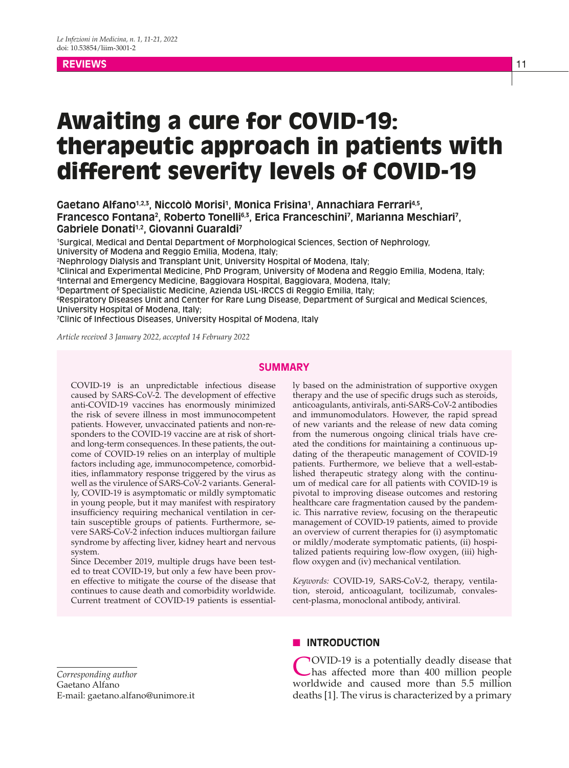## **REVIEWS** 11 **AND 2012 12 AND 2012 12:00 IN 2012 12:00 IN 2012 12:00 IN 2013 12:00 IN 2013**

# Awaiting a cure for COVID-19: therapeutic approach in patients with different severity levels of COVID-19

Gaetano Alfano<sup>1,2,3</sup>, Niccolò Morisi<sup>1</sup>, Monica Frisina<sup>1</sup>, Annachiara Ferrari<sup>4,5</sup>, **Francesco Fontana?, Roberto Tonelli<sup>63</sup>, Erica Franceschini?, Marianna Meschiari?, Gabriele Donati1,2, Giovanni Guaraldi7**

1 Surgical, Medical and Dental Department of Morphological Sciences, Section of Nephrology, University of Modena and Reggio Emilia, Modena, Italy;

2 Nephrology Dialysis and Transplant Unit, University Hospital of Modena, Italy;

3 Clinical and Experimental Medicine, PhD Program, University of Modena and Reggio Emilia, Modena, Italy; 4 Internal and Emergency Medicine, Baggiovara Hospital, Baggiovara, Modena, Italy;

5 Department of Specialistic Medicine, Azienda USL-IRCCS di Reggio Emilia, Italy;

6 Respiratory Diseases Unit and Center for Rare Lung Disease, Department of Surgical and Medical Sciences, University Hospital of Modena, Italy;

7 Clinic of Infectious Diseases, University Hospital of Modena, Italy

*Article received 3 January 2022, accepted 14 February 2022*

## **SUMMARY**

COVID-19 is an unpredictable infectious disease caused by SARS-CoV-2. The development of effective anti-COVID-19 vaccines has enormously minimized the risk of severe illness in most immunocompetent patients. However, unvaccinated patients and non-responders to the COVID-19 vaccine are at risk of shortand long-term consequences. In these patients, the outcome of COVID-19 relies on an interplay of multiple factors including age, immunocompetence, comorbidities, inflammatory response triggered by the virus as well as the virulence of SARS-CoV-2 variants. Generally, COVID-19 is asymptomatic or mildly symptomatic in young people, but it may manifest with respiratory insufficiency requiring mechanical ventilation in certain susceptible groups of patients. Furthermore, severe SARS-CoV-2 infection induces multiorgan failure syndrome by affecting liver, kidney heart and nervous system.

Since December 2019, multiple drugs have been tested to treat COVID-19, but only a few have been proven effective to mitigate the course of the disease that continues to cause death and comorbidity worldwide. Current treatment of COVID-19 patients is essentially based on the administration of supportive oxygen therapy and the use of specific drugs such as steroids, anticoagulants, antivirals, anti-SARS-CoV-2 antibodies and immunomodulators. However, the rapid spread of new variants and the release of new data coming from the numerous ongoing clinical trials have created the conditions for maintaining a continuous updating of the therapeutic management of COVID-19 patients. Furthermore, we believe that a well-established therapeutic strategy along with the continuum of medical care for all patients with COVID-19 is pivotal to improving disease outcomes and restoring healthcare care fragmentation caused by the pandemic. This narrative review, focusing on the therapeutic management of COVID-19 patients, aimed to provide an overview of current therapies for (i) asymptomatic or mildly/moderate symptomatic patients, (ii) hospitalized patients requiring low-flow oxygen, (iii) highflow oxygen and (iv) mechanical ventilation.

*Keywords:* COVID-19, SARS-CoV-2, therapy, ventilation, steroid, anticoagulant, tocilizumab, convalescent-plasma, monoclonal antibody, antiviral.

*Corresponding author* Gaetano Alfano E-mail: gaetano.alfano@unimore.it

## **N INTRODUCTION**

COVID-19 is a potentially deadly disease that has affected more than 400 million people worldwide and caused more than 5.5 million deaths [1]. The virus is characterized by a primary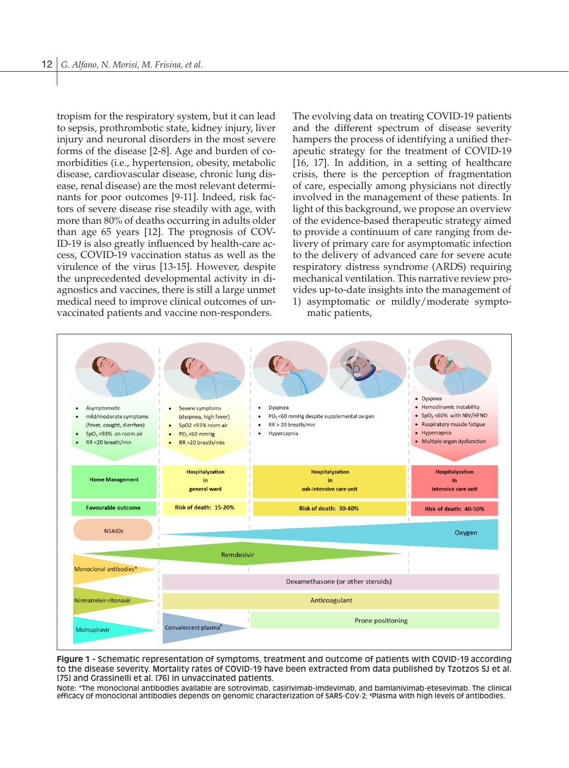tropism for the respiratory system, but it can lead to sepsis, prothrombotic state, kidney injury, liver injury and neuronal disorders in the most severe forms of the disease [2-8]. Age and burden of comorbidities (i.e., hypertension, obesity, metabolic disease, cardiovascular disease, chronic lung disease, renal disease) are the most relevant determinants for poor outcomes [9-11]. Indeed, risk factors of severe disease rise steadily with age, with more than 80% of deaths occurring in adults older than age 65 years [12]. The prognosis of COV-ID-19 is also greatly influenced by health-care access, COVID-19 vaccination status as well as the virulence of the virus [13-15]. However, despite the unprecedented developmental activity in diagnostics and vaccines, there is still a large unmet medical need to improve clinical outcomes of unvaccinated patients and vaccine non-responders.

The evolving data on treating COVID-19 patients and the different spectrum of disease severity hampers the process of identifying a unified therapeutic strategy for the treatment of COVID-19 [16, 17]. In addition, in a setting of healthcare crisis, there is the perception of fragmentation of care, especially among physicians not directly involved in the management of these patients. In light of this background, we propose an overview of the evidence-based therapeutic strategy aimed to provide a continuum of care ranging from delivery of primary care for asymptomatic infection to the delivery of advanced care for severe acute respiratory distress syndrome (ARDS) requiring mechanical ventilation. This narrative review provides up-to-date insights into the management of 1) asymptomatic or mildly/moderate symptomatic patients,



**Figure 1 -** Schematic representation of symptoms, treatment and outcome of patients with COVID-19 according to the disease severity. Mortality rates of COVID-19 have been extracted from data published by Tzotzos SJ et al. [75] and Grassinelli et al. [76] in unvaccinated patients.

Note: \*The monoclonal antibodies available are sotrovimab, casirivimab-imdevimab, and bamlanivimab-etesevimab. The clinical efficacy of monoclonal antibodies depends on genomic characterization of SARS-CoV-2; # Plasma with high levels of antibodies.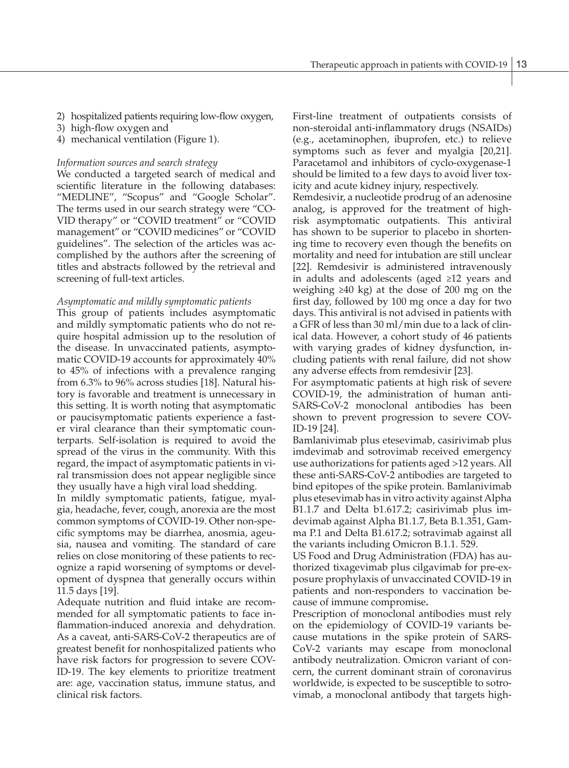- 2) hospitalized patients requiring low-flow oxygen,
- 3) high-flow oxygen and
- 4) mechanical ventilation (Figure 1).

#### *Information sources and search strategy*

We conducted a targeted search of medical and scientific literature in the following databases: "MEDLINE", "Scopus" and "Google Scholar". The terms used in our search strategy were "CO-VID therapy" or "COVID treatment" or "COVID management" or "COVID medicines" or "COVID guidelines". The selection of the articles was accomplished by the authors after the screening of titles and abstracts followed by the retrieval and screening of full-text articles.

#### *Asymptomatic and mildly symptomatic patients*

This group of patients includes asymptomatic and mildly symptomatic patients who do not require hospital admission up to the resolution of the disease. In unvaccinated patients, asymptomatic COVID-19 accounts for approximately 40% to 45% of infections with a prevalence ranging from 6.3% to 96% across studies [18]. Natural history is favorable and treatment is unnecessary in this setting. It is worth noting that asymptomatic or paucisymptomatic patients experience a faster viral clearance than their symptomatic counterparts. Self-isolation is required to avoid the spread of the virus in the community. With this regard, the impact of asymptomatic patients in viral transmission does not appear negligible since they usually have a high viral load shedding.

In mildly symptomatic patients, fatigue, myalgia, headache, fever, cough, anorexia are the most common symptoms of COVID-19. Other non-specific symptoms may be diarrhea, anosmia, ageusia, nausea and vomiting. The standard of care relies on close monitoring of these patients to recognize a rapid worsening of symptoms or development of dyspnea that generally occurs within 11.5 days [19].

Adequate nutrition and fluid intake are recommended for all symptomatic patients to face inflammation-induced anorexia and dehydration. As a caveat, anti-SARS-CoV-2 therapeutics are of greatest benefit for nonhospitalized patients who have risk factors for progression to severe COV-ID-19. The key elements to prioritize treatment are: age, vaccination status, immune status, and clinical risk factors.

First-line treatment of outpatients consists of non-steroidal anti-inflammatory drugs (NSAIDs) (e.g., acetaminophen, ibuprofen, etc.) to relieve symptoms such as fever and myalgia [20,21]. Paracetamol and inhibitors of cyclo-oxygenase-1 should be limited to a few days to avoid liver toxicity and acute kidney injury, respectively.

Remdesivir, a nucleotide prodrug of an adenosine analog, is approved for the treatment of highrisk asymptomatic outpatients. This antiviral has shown to be superior to placebo in shortening time to recovery even though the benefits on mortality and need for intubation are still unclear [22]. Remdesivir is administered intravenously in adults and adolescents (aged ≥12 years and weighing ≥40 kg) at the dose of 200 mg on the first day, followed by 100 mg once a day for two days. This antiviral is not advised in patients with a GFR of less than 30 ml/min due to a lack of clinical data. However, a cohort study of 46 patients with varying grades of kidney dysfunction, including patients with renal failure, did not show any adverse effects from remdesivir [23].

For asymptomatic patients at high risk of severe COVID-19, the administration of human anti-SARS-CoV-2 monoclonal antibodies has been shown to prevent progression to severe COV-ID-19 [24].

Bamlanivimab plus etesevimab, casirivimab plus imdevimab and sotrovimab received emergency use authorizations for patients aged >12 years. All these anti-SARS-CoV-2 antibodies are targeted to bind epitopes of the spike protein. Bamlanivimab plus etesevimab has in vitro activity against Alpha B1.1.7 and Delta b1.617.2; casirivimab plus imdevimab against Alpha B1.1.7, Beta B.1.351, Gamma P.1 and Delta B1.617.2; sotravimab against all the variants including Omicron B.1.1. 529.

US Food and Drug Administration (FDA) has authorized tixagevimab plus cilgavimab for pre-exposure prophylaxis of unvaccinated COVID-19 in patients and non-responders to vaccination because of immune compromise**.**

Prescription of monoclonal antibodies must rely on the epidemiology of COVID-19 variants because mutations in the spike protein of SARS-CoV-2 variants may escape from monoclonal antibody neutralization. Omicron variant of concern, the current dominant strain of coronavirus worldwide, is expected to be susceptible to sotrovimab, a monoclonal antibody that targets high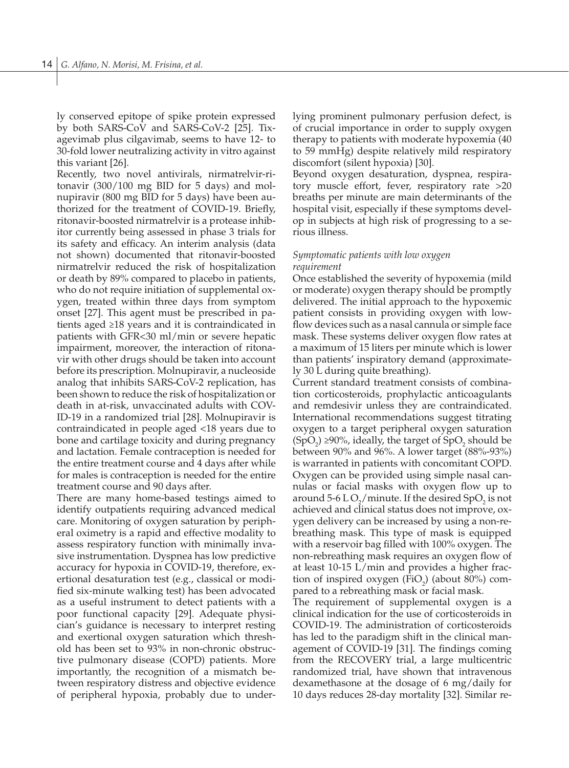ly conserved epitope of spike protein expressed by both SARS-CoV and SARS-CoV-2 [25]. Tixagevimab plus cilgavimab, seems to have 12- to 30-fold lower neutralizing activity in vitro against this variant [26].

Recently, two novel antivirals, nirmatrelvir-ritonavir (300/100 mg BID for 5 days) and molnupiravir (800 mg BID for 5 days) have been authorized for the treatment of COVID-19. Briefly, ritonavir-boosted nirmatrelvir is a protease inhibitor currently being assessed in phase 3 trials for its safety and efficacy. An interim analysis (data not shown) documented that ritonavir-boosted nirmatrelvir reduced the risk of hospitalization or death by 89% compared to placebo in patients, who do not require initiation of supplemental oxygen, treated within three days from symptom onset [27]. This agent must be prescribed in patients aged ≥18 years and it is contraindicated in patients with GFR<30 ml/min or severe hepatic impairment, moreover, the interaction of ritonavir with other drugs should be taken into account before its prescription. Molnupiravir, a nucleoside analog that inhibits SARS-CoV-2 replication, has been shown to reduce the risk of hospitalization or death in at-risk, unvaccinated adults with COV-ID-19 in a randomized trial [28]. Molnupiravir is contraindicated in people aged <18 years due to bone and cartilage toxicity and during pregnancy and lactation. Female contraception is needed for the entire treatment course and 4 days after while for males is contraception is needed for the entire treatment course and 90 days after.

There are many home-based testings aimed to identify outpatients requiring advanced medical care. Monitoring of oxygen saturation by peripheral oximetry is a rapid and effective modality to assess respiratory function with minimally invasive instrumentation. Dyspnea has low predictive accuracy for hypoxia in COVID-19, therefore, exertional desaturation test (e.g., classical or modified six-minute walking test) has been advocated as a useful instrument to detect patients with a poor functional capacity [29]. Adequate physician's guidance is necessary to interpret resting and exertional oxygen saturation which threshold has been set to 93% in non-chronic obstructive pulmonary disease (COPD) patients. More importantly, the recognition of a mismatch between respiratory distress and objective evidence of peripheral hypoxia, probably due to underlying prominent pulmonary perfusion defect, is of crucial importance in order to supply oxygen therapy to patients with moderate hypoxemia (40 to 59 mmHg) despite relatively mild respiratory discomfort (silent hypoxia) [30].

Beyond oxygen desaturation, dyspnea, respiratory muscle effort, fever, respiratory rate >20 breaths per minute are main determinants of the hospital visit, especially if these symptoms develop in subjects at high risk of progressing to a serious illness.

## *Symptomatic patients with low oxygen requirement*

Once established the severity of hypoxemia (mild or moderate) oxygen therapy should be promptly delivered. The initial approach to the hypoxemic patient consists in providing oxygen with lowflow devices such as a nasal cannula or simple face mask. These systems deliver oxygen flow rates at a maximum of 15 liters per minute which is lower than patients' inspiratory demand (approximately 30 L during quite breathing).

Current standard treatment consists of combination corticosteroids, prophylactic anticoagulants and remdesivir unless they are contraindicated. International recommendations suggest titrating oxygen to a target peripheral oxygen saturation  $(SpO<sub>2</sub>) \ge 90\%$ , ideally, the target of  $SpO<sub>2</sub>$  should be between 90% and 96%. A lower target (88%-93%) is warranted in patients with concomitant COPD. Oxygen can be provided using simple nasal cannulas or facial masks with oxygen flow up to around 5-6 L O<sub>2</sub>/minute. If the desired SpO<sub>2</sub> is not achieved and clinical status does not improve, oxygen delivery can be increased by using a non-rebreathing mask. This type of mask is equipped with a reservoir bag filled with 100% oxygen. The non-rebreathing mask requires an oxygen flow of at least 10-15 L/min and provides a higher fraction of inspired oxygen  $(FiO<sub>2</sub>)$  (about 80%) compared to a rebreathing mask or facial mask.

The requirement of supplemental oxygen is a clinical indication for the use of corticosteroids in COVID-19. The administration of corticosteroids has led to the paradigm shift in the clinical management of COVID-19 [31]. The findings coming from the RECOVERY trial, a large multicentric randomized trial, have shown that intravenous dexamethasone at the dosage of 6 mg/daily for 10 days reduces 28-day mortality [32]. Similar re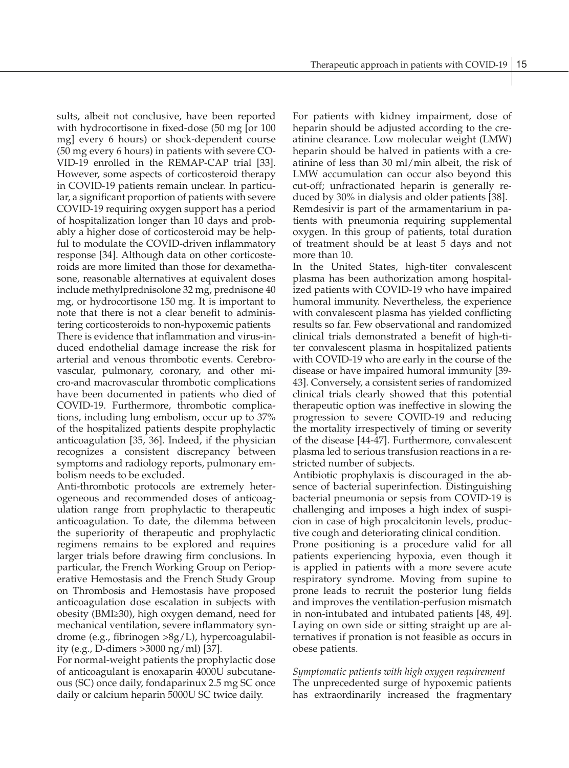sults, albeit not conclusive, have been reported with hydrocortisone in fixed-dose (50 mg [or 100 mg] every 6 hours) or shock-dependent course (50 mg every 6 hours) in patients with severe CO-VID-19 enrolled in the REMAP-CAP trial [33]. However, some aspects of corticosteroid therapy in COVID-19 patients remain unclear. In particular, a significant proportion of patients with severe COVID-19 requiring oxygen support has a period of hospitalization longer than 10 days and probably a higher dose of corticosteroid may be helpful to modulate the COVID-driven inflammatory response [34]. Although data on other corticosteroids are more limited than those for dexamethasone, reasonable alternatives at equivalent doses include methylprednisolone 32 mg, prednisone 40 mg, or hydrocortisone 150 mg. It is important to note that there is not a clear benefit to administering corticosteroids to non-hypoxemic patients There is evidence that inflammation and virus-induced endothelial damage increase the risk for arterial and venous thrombotic events. Cerebrovascular, pulmonary, coronary, and other micro-and macrovascular thrombotic complications have been documented in patients who died of COVID-19. Furthermore, thrombotic complications, including lung embolism, occur up to 37% of the hospitalized patients despite prophylactic anticoagulation [35, 36]. Indeed, if the physician recognizes a consistent discrepancy between symptoms and radiology reports, pulmonary embolism needs to be excluded.

Anti-thrombotic protocols are extremely heterogeneous and recommended doses of anticoagulation range from prophylactic to therapeutic anticoagulation. To date, the dilemma between the superiority of therapeutic and prophylactic regimens remains to be explored and requires larger trials before drawing firm conclusions. In particular, the French Working Group on Perioperative Hemostasis and the French Study Group on Thrombosis and Hemostasis have proposed anticoagulation dose escalation in subjects with obesity (BMI≥30), high oxygen demand, need for mechanical ventilation, severe inflammatory syndrome (e.g., fibrinogen >8g/L), hypercoagulability (e.g., D-dimers >3000 ng/ml) [37].

For normal-weight patients the prophylactic dose of anticoagulant is enoxaparin 4000U subcutaneous (SC) once daily, fondaparinux 2.5 mg SC once daily or calcium heparin 5000U SC twice daily.

For patients with kidney impairment, dose of heparin should be adjusted according to the creatinine clearance. Low molecular weight (LMW) heparin should be halved in patients with a creatinine of less than 30 ml/min albeit, the risk of LMW accumulation can occur also beyond this cut-off; unfractionated heparin is generally reduced by 30% in dialysis and older patients [38]. Remdesivir is part of the armamentarium in patients with pneumonia requiring supplemental oxygen. In this group of patients, total duration of treatment should be at least 5 days and not more than 10.

In the United States, high-titer convalescent plasma has been authorization among hospitalized patients with COVID-19 who have impaired humoral immunity. Nevertheless, the experience with convalescent plasma has yielded conflicting results so far. Few observational and randomized clinical trials demonstrated a benefit of high-titer convalescent plasma in hospitalized patients with COVID-19 who are early in the course of the disease or have impaired humoral immunity [39- 43]. Conversely, a consistent series of randomized clinical trials clearly showed that this potential therapeutic option was ineffective in slowing the progression to severe COVID-19 and reducing the mortality irrespectively of timing or severity of the disease [44-47]. Furthermore, convalescent plasma led to serious transfusion reactions in a restricted number of subjects.

Antibiotic prophylaxis is discouraged in the absence of bacterial superinfection. Distinguishing bacterial pneumonia or sepsis from COVID-19 is challenging and imposes a high index of suspicion in case of high procalcitonin levels, productive cough and deteriorating clinical condition.

Prone positioning is a procedure valid for all patients experiencing hypoxia, even though it is applied in patients with a more severe acute respiratory syndrome. Moving from supine to prone leads to recruit the posterior lung fields and improves the ventilation-perfusion mismatch in non-intubated and intubated patients [48, 49]. Laying on own side or sitting straight up are alternatives if pronation is not feasible as occurs in obese patients.

# *Symptomatic patients with high oxygen requirement* The unprecedented surge of hypoxemic patients

has extraordinarily increased the fragmentary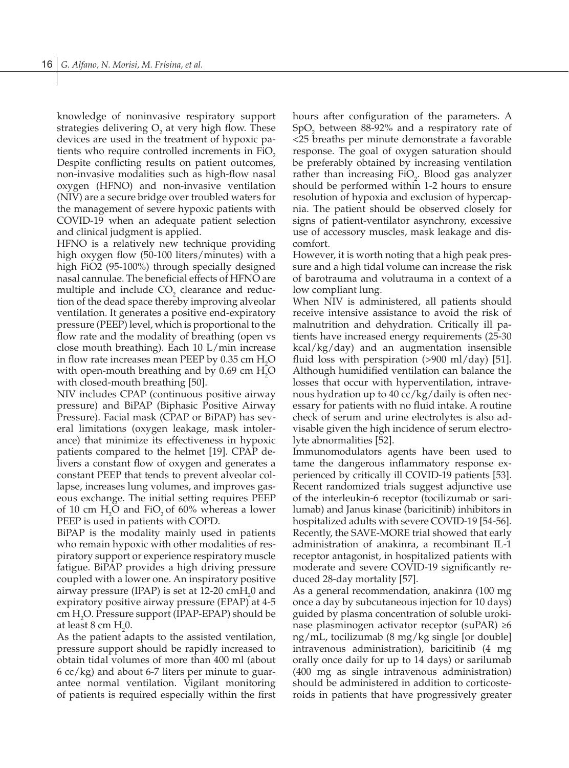knowledge of noninvasive respiratory support strategies delivering  $O_2$  at very high flow. These devices are used in the treatment of hypoxic patients who require controlled increments in  $FiO<sub>2</sub>$ Despite conflicting results on patient outcomes, non-invasive modalities such as high-flow nasal oxygen (HFNO) and non-invasive ventilation (NIV) are a secure bridge over troubled waters for the management of severe hypoxic patients with COVID-19 when an adequate patient selection and clinical judgment is applied.

HFNO is a relatively new technique providing high oxygen flow (50-100 liters/minutes) with a high FiO2 (95-100%) through specially designed nasal cannulae. The beneficial effects of HFNO are multiple and include  $CO<sub>2</sub>$  clearance and reduction of the dead space thereby improving alveolar ventilation. It generates a positive end-expiratory pressure (PEEP) level, which is proportional to the flow rate and the modality of breathing (open vs close mouth breathing). Each 10 L/min increase in flow rate increases mean PEEP by  $0.35$  cm  $H<sub>2</sub>O$ with open-mouth breathing and by  $0.69 \text{ cm } H_2O$ with closed-mouth breathing [50].

NIV includes CPAP (continuous positive airway pressure) and BiPAP (Biphasic Positive Airway Pressure). Facial mask (CPAP or BiPAP) has several limitations (oxygen leakage, mask intolerance) that minimize its effectiveness in hypoxic patients compared to the helmet [19]. CPAP delivers a constant flow of oxygen and generates a constant PEEP that tends to prevent alveolar collapse, increases lung volumes, and improves gaseous exchange. The initial setting requires PEEP of 10 cm  $H_2O$  and FiO<sub>2</sub> of 60% whereas a lower PEEP is used in patients with COPD.

BiPAP is the modality mainly used in patients who remain hypoxic with other modalities of respiratory support or experience respiratory muscle fatigue. BiPAP provides a high driving pressure coupled with a lower one. An inspiratory positive airway pressure (IPAP) is set at  $12{\text -}20$  cmH<sub>2</sub>0 and expiratory positive airway pressure (EPAP) at 4-5 cm H2 O. Pressure support (IPAP-EPAP) should be at least 8 cm  $H_2$ 0.

As the patient adapts to the assisted ventilation, pressure support should be rapidly increased to obtain tidal volumes of more than 400 ml (about 6 cc/kg) and about 6-7 liters per minute to guarantee normal ventilation. Vigilant monitoring of patients is required especially within the first hours after configuration of the parameters. A  $SpO<sub>2</sub>$  between 88-92% and a respiratory rate of <25 breaths per minute demonstrate a favorable response. The goal of oxygen saturation should be preferably obtained by increasing ventilation rather than increasing  $FiO<sub>2</sub>$ . Blood gas analyzer should be performed within 1-2 hours to ensure resolution of hypoxia and exclusion of hypercapnia. The patient should be observed closely for signs of patient-ventilator asynchrony, excessive use of accessory muscles, mask leakage and discomfort.

However, it is worth noting that a high peak pressure and a high tidal volume can increase the risk of barotrauma and volutrauma in a context of a low compliant lung.

When NIV is administered, all patients should receive intensive assistance to avoid the risk of malnutrition and dehydration. Critically ill patients have increased energy requirements (25-30 kcal/kg/day) and an augmentation insensible fluid loss with perspiration  $(>900 \text{ ml}/day)$  [51]. Although humidified ventilation can balance the losses that occur with hyperventilation, intravenous hydration up to 40 cc/kg/daily is often necessary for patients with no fluid intake. A routine check of serum and urine electrolytes is also advisable given the high incidence of serum electrolyte abnormalities [52].

Immunomodulators agents have been used to tame the dangerous inflammatory response experienced by critically ill COVID-19 patients [53]. Recent randomized trials suggest adjunctive use of the interleukin-6 receptor (tocilizumab or sarilumab) and Janus kinase (baricitinib) inhibitors in hospitalized adults with severe COVID-19 [54-56]. Recently, the SAVE-MORE trial showed that early administration of anakinra, a recombinant IL-1 receptor antagonist, in hospitalized patients with moderate and severe COVID-19 significantly reduced 28-day mortality [57].

As a general recommendation, anakinra (100 mg once a day by subcutaneous injection for 10 days) guided by plasma concentration of soluble urokinase plasminogen activator receptor (suPAR) ≥6 ng/mL, tocilizumab (8 mg/kg single [or double] intravenous administration), baricitinib (4 mg orally once daily for up to 14 days) or sarilumab (400 mg as single intravenous administration) should be administered in addition to corticosteroids in patients that have progressively greater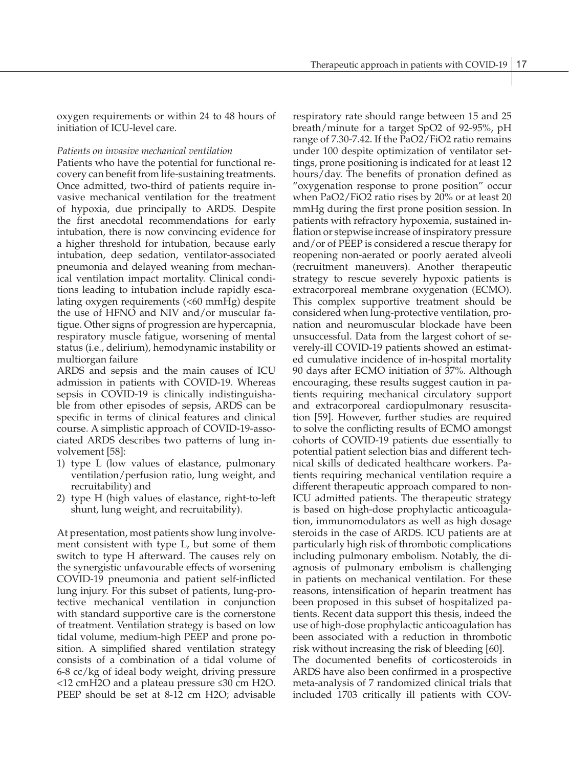oxygen requirements or within 24 to 48 hours of initiation of ICU-level care.

#### *Patients on invasive mechanical ventilation*

Patients who have the potential for functional recovery can benefit from life-sustaining treatments. Once admitted, two-third of patients require invasive mechanical ventilation for the treatment of hypoxia, due principally to ARDS. Despite the first anecdotal recommendations for early intubation, there is now convincing evidence for a higher threshold for intubation, because early intubation, deep sedation, ventilator-associated pneumonia and delayed weaning from mechanical ventilation impact mortality. Clinical conditions leading to intubation include rapidly escalating oxygen requirements (<60 mmHg) despite the use of HFNO and NIV and/or muscular fatigue. Other signs of progression are hypercapnia, respiratory muscle fatigue, worsening of mental status (i.e., delirium), hemodynamic instability or multiorgan failure

ARDS and sepsis and the main causes of ICU admission in patients with COVID-19. Whereas sepsis in COVID-19 is clinically indistinguishable from other episodes of sepsis, ARDS can be specific in terms of clinical features and clinical course. A simplistic approach of COVID-19-associated ARDS describes two patterns of lung involvement [58]:

- 1) type L (low values of elastance, pulmonary ventilation/perfusion ratio, lung weight, and recruitability) and
- 2) type H (high values of elastance, right-to-left shunt, lung weight, and recruitability).

At presentation, most patients show lung involvement consistent with type L, but some of them switch to type H afterward. The causes rely on the synergistic unfavourable effects of worsening COVID-19 pneumonia and patient self-inflicted lung injury. For this subset of patients, lung-protective mechanical ventilation in conjunction with standard supportive care is the cornerstone of treatment. Ventilation strategy is based on low tidal volume, medium-high PEEP and prone position. A simplified shared ventilation strategy consists of a combination of a tidal volume of 6-8 cc/kg of ideal body weight, driving pressure <12 cmH2O and a plateau pressure ≤30 cm H2O. PEEP should be set at 8-12 cm H2O; advisable respiratory rate should range between 15 and 25 breath/minute for a target SpO2 of 92-95%, pH range of 7.30-7.42. If the PaO2/FiO2 ratio remains under 100 despite optimization of ventilator settings, prone positioning is indicated for at least 12 hours/day. The benefits of pronation defined as "oxygenation response to prone position" occur when PaO2/FiO2 ratio rises by 20% or at least 20 mmHg during the first prone position session. In patients with refractory hypoxemia, sustained inflation or stepwise increase of inspiratory pressure and/or of PEEP is considered a rescue therapy for reopening non-aerated or poorly aerated alveoli (recruitment maneuvers). Another therapeutic strategy to rescue severely hypoxic patients is extracorporeal membrane oxygenation (ECMO). This complex supportive treatment should be considered when lung-protective ventilation, pronation and neuromuscular blockade have been unsuccessful. Data from the largest cohort of severely-ill COVID-19 patients showed an estimated cumulative incidence of in-hospital mortality 90 days after ECMO initiation of 37%. Although encouraging, these results suggest caution in patients requiring mechanical circulatory support and extracorporeal cardiopulmonary resuscitation [59]. However, further studies are required to solve the conflicting results of ECMO amongst cohorts of COVID-19 patients due essentially to potential patient selection bias and different technical skills of dedicated healthcare workers. Patients requiring mechanical ventilation require a different therapeutic approach compared to non-ICU admitted patients. The therapeutic strategy is based on high-dose prophylactic anticoagulation, immunomodulators as well as high dosage steroids in the case of ARDS. ICU patients are at particularly high risk of thrombotic complications including pulmonary embolism. Notably, the diagnosis of pulmonary embolism is challenging in patients on mechanical ventilation. For these reasons, intensification of heparin treatment has been proposed in this subset of hospitalized patients. Recent data support this thesis, indeed the use of high-dose prophylactic anticoagulation has been associated with a reduction in thrombotic risk without increasing the risk of bleeding [60]. The documented benefits of corticosteroids in ARDS have also been confirmed in a prospective meta-analysis of 7 randomized clinical trials that included 1703 critically ill patients with COV-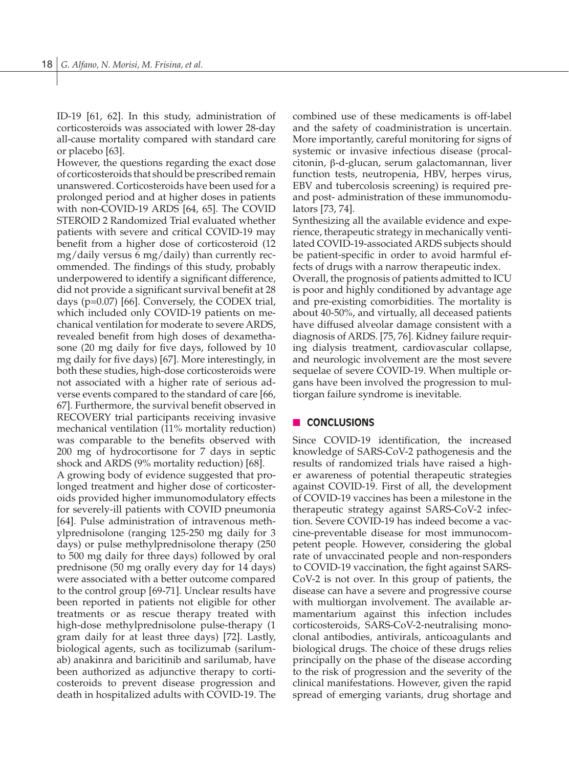ID-19 [61, 62]. In this study, administration of corticosteroids was associated with lower 28-day all-cause mortality compared with standard care or placebo [63].

However, the questions regarding the exact dose of corticosteroids that should be prescribed remain unanswered. Corticosteroids have been used for a prolonged period and at higher doses in patients with non-COVID-19 ARDS [64, 65]. The COVID STEROID 2 Randomized Trial evaluated whether patients with severe and critical COVID-19 may benefit from a higher dose of corticosteroid (12 mg/daily versus 6 mg/daily) than currently recommended. The findings of this study, probably underpowered to identify a significant difference, did not provide a significant survival benefit at 28 days (p=0.07) [66]. Conversely, the CODEX trial, which included only COVID-19 patients on mechanical ventilation for moderate to severe ARDS, revealed benefit from high doses of dexamethasone (20 mg daily for five days, followed by 10 mg daily for five days) [67]. More interestingly, in both these studies, high-dose corticosteroids were not associated with a higher rate of serious adverse events compared to the standard of care [66, 67]. Furthermore, the survival benefit observed in RECOVERY trial participants receiving invasive mechanical ventilation (11% mortality reduction) was comparable to the benefits observed with 200 mg of hydrocortisone for 7 days in septic shock and ARDS (9% mortality reduction) [68].

A growing body of evidence suggested that prolonged treatment and higher dose of corticosteroids provided higher immunomodulatory effects for severely-ill patients with COVID pneumonia [64]. Pulse administration of intravenous methylprednisolone (ranging 125-250 mg daily for 3 days) or pulse methylprednisolone therapy (250 to 500 mg daily for three days) followed by oral prednisone (50 mg orally every day for 14 days) were associated with a better outcome compared to the control group [69-71]. Unclear results have been reported in patients not eligible for other treatments or as rescue therapy treated with high-dose methylprednisolone pulse-therapy (1 gram daily for at least three days) [72]. Lastly, biological agents, such as tocilizumab (sarilumab) anakinra and baricitinib and sarilumab, have been authorized as adjunctive therapy to corticosteroids to prevent disease progression and death in hospitalized adults with COVID-19. The

combined use of these medicaments is off-label and the safety of coadministration is uncertain. More importantly, careful monitoring for signs of systemic or invasive infectious disease (procalcitonin, β-d-glucan, serum galactomannan, liver function tests, neutropenia, HBV, herpes virus, EBV and tubercolosis screening) is required preand post- administration of these immunomodulators [73, 74].

Synthesizing all the available evidence and experience, therapeutic strategy in mechanically ventilated COVID-19-associated ARDS subjects should be patient-specific in order to avoid harmful effects of drugs with a narrow therapeutic index.

Overall, the prognosis of patients admitted to ICU is poor and highly conditioned by advantage age and pre-existing comorbidities. The mortality is about 40-50%, and virtually, all deceased patients have diffused alveolar damage consistent with a diagnosis of ARDS. [75, 76]. Kidney failure requiring dialysis treatment, cardiovascular collapse, and neurologic involvement are the most severe sequelae of severe COVID-19. When multiple organs have been involved the progression to multiorgan failure syndrome is inevitable.

## **n CONCLUSIONS**

Since COVID-19 identification, the increased knowledge of SARS-CoV-2 pathogenesis and the results of randomized trials have raised a higher awareness of potential therapeutic strategies against COVID-19. First of all, the development of COVID-19 vaccines has been a milestone in the therapeutic strategy against SARS-CoV-2 infection. Severe COVID-19 has indeed become a vaccine-preventable disease for most immunocompetent people. However, considering the global rate of unvaccinated people and non-responders to COVID-19 vaccination, the fight against SARS-CoV-2 is not over. In this group of patients, the disease can have a severe and progressive course with multiorgan involvement. The available armamentarium against this infection includes corticosteroids, SARS-CoV-2-neutralising monoclonal antibodies, antivirals, anticoagulants and biological drugs. The choice of these drugs relies principally on the phase of the disease according to the risk of progression and the severity of the clinical manifestations. However, given the rapid spread of emerging variants, drug shortage and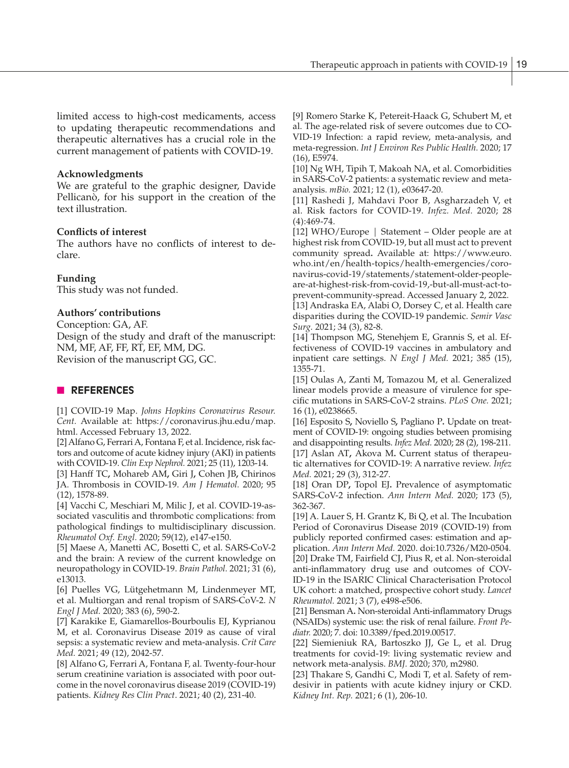limited access to high-cost medicaments, access to updating therapeutic recommendations and therapeutic alternatives has a crucial role in the current management of patients with COVID-19.

#### **Acknowledgments**

We are grateful to the graphic designer, Davide Pellicanò, for his support in the creation of the text illustration.

## **Conflicts of interest**

The authors have no conflicts of interest to declare.

## **Funding**

This study was not funded.

## **Authors' contributions**

Conception: GA, AF. Design of the study and draft of the manuscript: NM, MF, AF, FF, RT, EF, MM, DG. Revision of the manuscript GG, GC.

## **N** REFERENCES

[1] COVID-19 Map. *Johns Hopkins Coronavirus Resour. Cent.* Available at: https://coronavirus.jhu.edu/map. html. Accessed February 13, 2022.

[2] Alfano G, Ferrari A, Fontana F, et al. Incidence, risk factors and outcome of acute kidney injury (AKI) in patients with COVID-19. *Clin Exp Nephrol.* 2021; 25 (11), 1203-14.

[3] Hanff TC**,** Mohareb AM**,** Giri J**,** Cohen JB**,** Chirinos JA. Thrombosis in COVID-19. *Am J Hematol.* 2020; 95 (12), 1578-89.

[4] Vacchi C, Meschiari M, Milic J, et al. COVID-19-associated vasculitis and thrombotic complications: from pathological findings to multidisciplinary discussion. *Rheumatol Oxf. Engl.* 2020; 59(12), e147-e150.

[5] Maese A, Manetti AC, Bosetti C, et al. SARS-CoV-2 and the brain: A review of the current knowledge on neuropathology in COVID-19. *Brain Pathol.* 2021; 31 (6), e13013.

[6] Puelles VG, Lütgehetmann M, Lindenmeyer MT, et al. Multiorgan and renal tropism of SARS-CoV-2. *N Engl J Med.* 2020; 383 (6), 590-2.

[7] Karakike E, Giamarellos-Bourboulis EJ, Kyprianou M, et al. Coronavirus Disease 2019 as cause of viral sepsis: a systematic review and meta-analysis. *Crit Care Med.* 2021; 49 (12), 2042-57.

[8] Alfano G, Ferrari A, Fontana F, al. Twenty-four-hour serum creatinine variation is associated with poor outcome in the novel coronavirus disease 2019 (COVID-19) patients. *Kidney Res Clin Pract*. 2021; 40 (2), 231-40.

[9] Romero Starke K, Petereit-Haack G, Schubert M, et al. The age-related risk of severe outcomes due to CO-VID-19 Infection: a rapid review, meta-analysis, and meta-regression. *Int J Environ Res Public Health.* 2020; 17 (16), E5974.

[10] Ng WH, Tipih T, Makoah NA, et al. Comorbidities in SARS-CoV-2 patients: a systematic review and metaanalysis. *mBio.* 2021; 12 (1), e03647-20.

[11] Rashedi J, Mahdavi Poor B, Asgharzadeh V, et al. Risk factors for COVID-19. *Infez. Med.* 2020; 28 (4):469-74.

[12] WHO/Europe | Statement – Older people are at highest risk from COVID-19, but all must act to prevent community spread**.** Available at: https://www.euro. who.int/en/health-topics/health-emergencies/coronavirus-covid-19/statements/statement-older-peopleare-at-highest-risk-from-covid-19,-but-all-must-act-toprevent-community-spread. Accessed January 2, 2022.

[13] Andraska EA, Alabi O, Dorsey C, et al. Health care disparities during the COVID-19 pandemic. *Semir Vasc Surg.* 2021; 34 (3), 82-8.

[14] Thompson MG, Stenehjem E, Grannis S, et al. Effectiveness of COVID-19 vaccines in ambulatory and inpatient care settings. *N Engl J Med.* 2021; 385 (15), 1355-71.

[15] Oulas A, Zanti M, Tomazou M, et al. Generalized linear models provide a measure of virulence for specific mutations in SARS-CoV-2 strains. *PLoS One.* 2021; 16 (1), e0238665.

[16] Esposito S**,** Noviello S**,** Pagliano P**.** Update on treatment of COVID-19: ongoing studies between promising and disappointing results. *Infez Med.* 2020; 28 (2), 198-211. [17] Aslan AT**,** Akova M**.** Current status of therapeutic alternatives for COVID-19: A narrative review. *Infez Med.* 2021; 29 (3), 312-27.

[18] Oran DP**,** Topol EJ**.** Prevalence of asymptomatic SARS-CoV-2 infection. *Ann Intern Med.* 2020; 173 (5), 362-367.

[19] A. Lauer S, H. Grantz K, Bi Q, et al. The Incubation Period of Coronavirus Disease 2019 (COVID-19) from publicly reported confirmed cases: estimation and application. *Ann Intern Med.* 2020. doi:10.7326/M20-0504. [20] Drake TM, Fairfield CJ, Pius R, et al. Non-steroidal anti-inflammatory drug use and outcomes of COV-ID-19 in the ISARIC Clinical Characterisation Protocol UK cohort: a matched, prospective cohort study. *Lancet Rheumatol.* 2021; 3 (7), e498-e506.

[21] Bensman A**.** Non-steroidal Anti-inflammatory Drugs (NSAIDs) systemic use: the risk of renal failure. *Front Pediatr.* 2020; 7. doi: 10.3389/fped.2019.00517.

[22] Siemieniuk RA, Bartoszko JJ, Ge L, et al. Drug treatments for covid-19: living systematic review and network meta-analysis. *BMJ.* 2020; 370, m2980.

[23] Thakare S, Gandhi C, Modi T, et al. Safety of remdesivir in patients with acute kidney injury or CKD. *Kidney Int. Rep.* 2021; 6 (1), 206-10.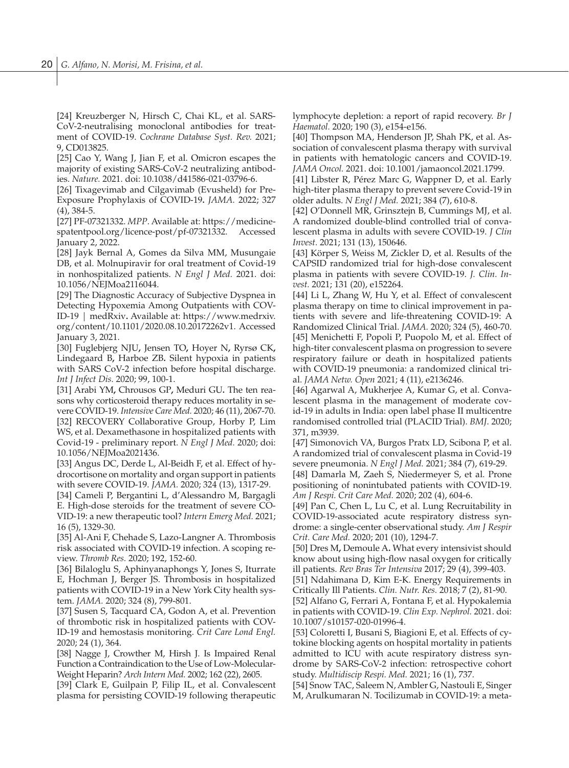[24] Kreuzberger N, Hirsch C, Chai KL, et al. SARS-CoV-2-neutralising monoclonal antibodies for treatment of COVID-19. *Cochrane Database Syst. Rev.* 2021; 9, CD013825.

[25] Cao Y, Wang J, Jian F, et al. Omicron escapes the majority of existing SARS-CoV-2 neutralizing antibodies. *Nature.* 2021. doi: 10.1038/d41586-021-03796-6.

[26] Tixagevimab and Cilgavimab (Evusheld) for Pre-Exposure Prophylaxis of COVID-19**.** *JAMA.* 2022; 327 (4), 384-5.

[27] PF-07321332. *MPP*. Available at: https://medicinespatentpool.org/licence-post/pf-07321332. Accessed January 2, 2022.

[28] Jayk Bernal A, Gomes da Silva MM, Musungaie DB, et al. Molnupiravir for oral treatment of Covid-19 in nonhospitalized patients. *N Engl J Med.* 2021. doi: 10.1056/NEJMoa2116044.

[29] The Diagnostic Accuracy of Subjective Dyspnea in Detecting Hypoxemia Among Outpatients with COV-ID-19 | medRxiv**.** Available at: https://www.medrxiv. org/content/10.1101/2020.08.10.20172262v1. Accessed January 3, 2021.

[30] Fuglebjerg NJU**,** Jensen TO**,** Hoyer N**,** Ryrsø CK**,**  Lindegaard B**,** Harboe ZB**.** Silent hypoxia in patients with SARS CoV-2 infection before hospital discharge. *Int J Infect Dis.* 2020; 99, 100-1.

[31] Arabi YM**,** Chrousos GP**,** Meduri GU**.** The ten reasons why corticosteroid therapy reduces mortality in severe COVID-19. *Intensive Care Med.* 2020; 46 (11), 2067-70. [32] RECOVERY Collaborative Group, Horby P, Lim WS, et al. Dexamethasone in hospitalized patients with Covid-19 - preliminary report. *N Engl J Med.* 2020; doi: 10.1056/NEJMoa2021436.

[33] Angus DC, Derde L, Al-Beidh F, et al. Effect of hydrocortisone on mortality and organ support in patients with severe COVID-19. *JAMA.* 2020; 324 (13), 1317-29.

[34] Cameli P, Bergantini L, d'Alessandro M, Bargagli E. High-dose steroids for the treatment of severe CO-VID-19: a new therapeutic tool? *Intern Emerg Med.* 2021; 16 (5), 1329-30.

[35] Al-Ani F, Chehade S, Lazo-Langner A. Thrombosis risk associated with COVID-19 infection. A scoping review. *Thromb Res.* 2020; 192, 152-60.

[36] Bilaloglu S, Aphinyanaphongs Y, Jones S, Iturrate E, Hochman J, Berger JS. Thrombosis in hospitalized patients with COVID-19 in a New York City health system. *JAMA.* 2020; 324 (8), 799-801.

[37] Susen S, Tacquard CA, Godon A, et al. Prevention of thrombotic risk in hospitalized patients with COV-ID-19 and hemostasis monitoring. *Crit Care Lond Engl.* 2020; 24 (1), 364.

[38] Nagge J, Crowther M, Hirsh J. Is Impaired Renal Function a Contraindication to the Use of Low-Molecular-Weight Heparin? *Arch Intern Med.* 2002; 162 (22), 2605.

[39] Clark E, Guilpain P, Filip IL, et al. Convalescent plasma for persisting COVID-19 following therapeutic lymphocyte depletion: a report of rapid recovery. *Br J Haematol.* 2020; 190 (3), e154-e156.

[40] Thompson MA, Henderson JP, Shah PK, et al. Association of convalescent plasma therapy with survival in patients with hematologic cancers and COVID-19. *JAMA Oncol.* 2021. doi: 10.1001/jamaoncol.2021.1799.

[41] Libster R, Pérez Marc G, Wappner D, et al. Early high-titer plasma therapy to prevent severe Covid-19 in older adults. *N Engl J Med.* 2021; 384 (7), 610-8.

[42] O'Donnell MR, Grinsztejn B, Cummings MJ, et al. A randomized double-blind controlled trial of convalescent plasma in adults with severe COVID-19. *J Clin Invest.* 2021; 131 (13), 150646.

[43] Körper S, Weiss M, Zickler D, et al. Results of the CAPSID randomized trial for high-dose convalescent plasma in patients with severe COVID-19. *J. Clin. Invest.* 2021; 131 (20), e152264.

[44] Li L, Zhang W, Hu Y, et al. Effect of convalescent plasma therapy on time to clinical improvement in patients with severe and life-threatening COVID-19: A Randomized Clinical Trial. *JAMA.* 2020; 324 (5), 460-70. [45] Menichetti F, Popoli P, Puopolo M, et al. Effect of high-titer convalescent plasma on progression to severe respiratory failure or death in hospitalized patients with COVID-19 pneumonia: a randomized clinical trial. *JAMA Netw. Open* 2021; 4 (11), e2136246.

[46] Agarwal A, Mukherjee A, Kumar G, et al. Convalescent plasma in the management of moderate covid-19 in adults in India: open label phase II multicentre randomised controlled trial (PLACID Trial). *BMJ*. 2020; 371, m3939.

[47] Simonovich VA, Burgos Pratx LD, Scibona P, et al. A randomized trial of convalescent plasma in Covid-19 severe pneumonia. *N Engl J Med.* 2021; 384 (7), 619-29.

[48] Damarla M, Zaeh S, Niedermeyer S, et al. Prone positioning of nonintubated patients with COVID-19. *Am J Respi. Crit Care Med.* 2020; 202 (4), 604-6.

[49] Pan C, Chen L, Lu C, et al. Lung Recruitability in COVID-19-associated acute respiratory distress syndrome: a single-center observational study. *Am J Respir Crit. Care Med.* 2020; 201 (10), 1294-7.

[50] Dres M**,** Demoule A**.** What every intensivist should know about using high-flow nasal oxygen for critically ill patients. *Rev Bras Ter Intensiva* 2017; 29 (4), 399-403.

[51] Ndahimana D, Kim E-K. Energy Requirements in Critically Ill Patients. *Clin. Nutr. Res.* 2018; 7 (2), 81-90.

[52] Alfano G, Ferrari A, Fontana F, et al. Hypokalemia in patients with COVID-19. *Clin Exp. Nephrol.* 2021. doi: 10.1007/s10157-020-01996-4.

[53] Coloretti I, Busani S, Biagioni E, et al. Effects of cytokine blocking agents on hospital mortality in patients admitted to ICU with acute respiratory distress syndrome by SARS-CoV-2 infection: retrospective cohort study. *Multidiscip Respi. Med.* 2021; 16 (1), 737.

[54] Snow TAC, Saleem N, Ambler G, Nastouli E, Singer M, Arulkumaran N. Tocilizumab in COVID-19: a meta